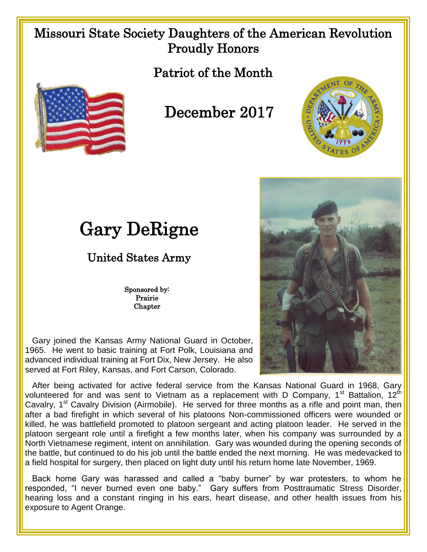## Missouri State Society Daughters of the American Revolution Proudly Honors

Patriot of the Month



## December 2017



## Gary DeRigne

## United States Army

Sponsored by: Prairie **Chapter** 

 Gary joined the Kansas Army National Guard in October, 1965. He went to basic training at Fort Polk, Louisiana and advanced individual training at Fort Dix, New Jersey. He also served at Fort Riley, Kansas, and Fort Carson, Colorado.

 After being activated for active federal service from the Kansas National Guard in 1968, Gary volunteered for and was sent to Vietnam as a replacement with D Company,  $1<sup>st</sup>$  Battalion,  $12<sup>th</sup>$ Cavalry, 1<sup>st</sup> Cavalry Division (Airmobile). He served for three months as a rifle and point man, then after a bad firefight in which several of his platoons Non-commissioned officers were wounded or killed, he was battlefield promoted to platoon sergeant and acting platoon leader. He served in the platoon sergeant role until a firefight a few months later, when his company was surrounded by a North Vietnamese regiment, intent on annihilation. Gary was wounded during the opening seconds of the battle, but continued to do his job until the battle ended the next morning. He was medevacked to a field hospital for surgery, then placed on light duty until his return home late November, 1969.

 Back home Gary was harassed and called a "baby burner" by war protesters, to whom he responded, "I never burned even one baby." Gary suffers from Posttraumatic Stress Disorder, hearing loss and a constant ringing in his ears, heart disease, and other health issues from his exposure to Agent Orange.